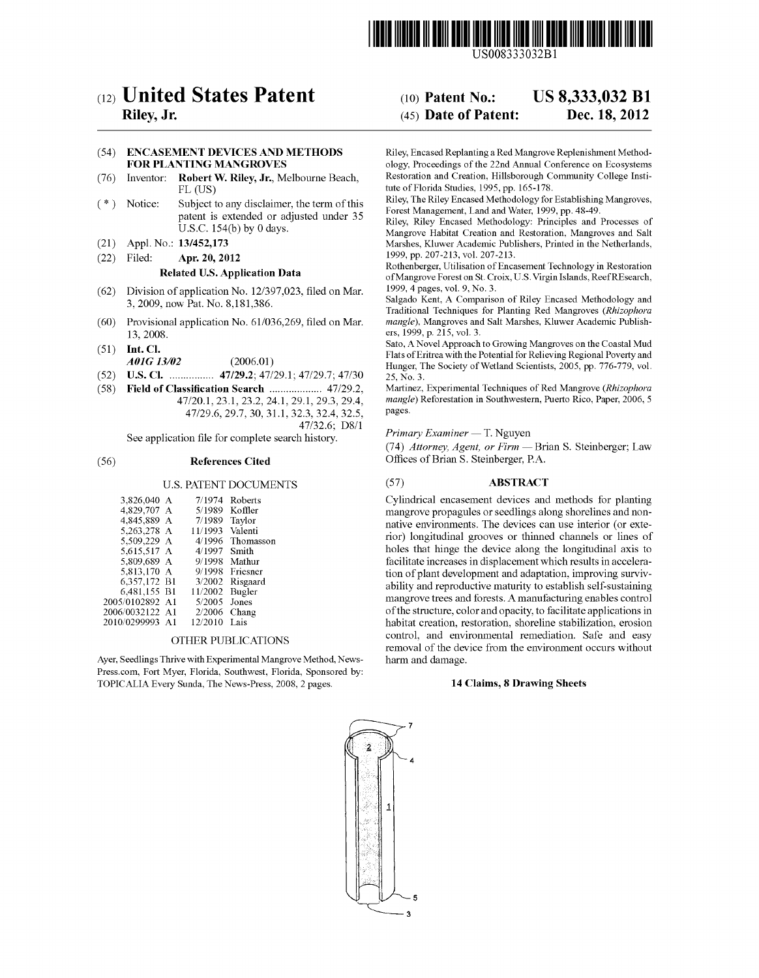

USOO8333O32B1

# (12) United States Patent

## Riley, Jr.

#### (54) ENCASEMENT DEVICES AND METHODS FOR PLANTING MANGROVES

- (76) Inventor: Robert W. Riley, Jr., Melbourne Beach, FL (US)
- Subject to any disclaimer, the term of this patent is extended or adjusted under 35 U.S.C. 154(b) by 0 days. (\*) Notice:
- (21) Appl. No.: 13/452,173
- (22) Filed: Apr. 20, 2012

#### Related U.S. Application Data

- (62) Division of application No. 12/397,023, filed on Mar. 3, 2009, now Pat. No. 8,181,386.
- (60) Provisional application No. 61/036,269, filed on Mar. 13, 2008.
- (51) Int. Cl. AOIG 3/02 (2006.01)
- (52) U.S. Cl. ................ 47/29.2:47/29.1; 47/29.7:47/30
- (58) Field of Classification Search ................... 47/29.2, 47/20.1, 23.1, 23.2, 24.1, 29.1, 29.3, 29.4, 47/29.6, 29.7, 30, 31.1, 32.3, 32.4, 32.5,
	- 47/32.6; D8/1

See application file for complete search history.

### (56) References Cited

### U.S. PATENT DOCUMENTS

| 3,826,040 A     | 7/1974  | Roberts   |
|-----------------|---------|-----------|
| 4.829.707 A     | 5/1989  | Koffler   |
| 4.845.889 A     | 7/1989  | Taylor    |
| 5,263,278 A     | 11/1993 | Valenti   |
| 5,509,229 A     | 4/1996  | Thomasson |
| 5.615.517 A     | 4/1997  | Smith     |
| 5.809.689 A     | 9/1998  | Mathur    |
| 5.813.170 A     | 9/1998  | Friesner  |
| 6.357,172 B1    | 3/2002  | Risgaard  |
| 6,481,155 B1    | 11/2002 | Bugler    |
| 2005/0102892 A1 | 5/2005  | Jones     |
| 2006/0032122 A1 | 2/2006  | Chang     |
| 2010/0299993 A1 | 12/2010 | Lais      |
|                 |         |           |

#### OTHER PUBLICATIONS

Ayer, Seedlings Thrive with Experimental Mangrove Method, News Press.com. Fort Myer, Florida, Southwest, Florida, Sponsored by: TOPICALIA Every Sunda, The News-Press, 2008, 2 pages.

#### US 8,333,032 B1 Dec. 18, 2012 (10) Patent No.: (45) Date of Patent:

Riley, Encased Replanting a Red Mangrove Replenishment Method ology, Proceedings of the 22nd Annual Conference on Ecosystems Restoration and Creation, Hillsborough Community College Insti tute of Florida Studies, 1995, pp. 165-178.

Riley, The Riley Encased Methodology for Establishing Mangroves, Forest Management, Land and Water, 1999, pp. 48-49.

Riley, Riley Encased Methodology: Principles and Processes of Mangrove Habitat Creation and Restoration, Mangroves and Salt Marshes, Kluwer Academic Publishers, Printed in the Netherlands, 1999, pp. 207-213, vol. 207-213.

Rothenberger, Utilisation of Encasement Technology in Restoration of Mangrove Foreston St. Croix, U.S. Virgin Islands, ReefREsearch, 1999, 4 pages, vol. 9, No. 3.

Salgado Kent, A Comparison of Riley Encased Methodology and Traditional Techniques for Planting Red Mangroves (Rhizophora mangle), Mangroves and Salt Marshes, Kluwer Academic Publish ers, 1999, p. 215, vol. 3.

Sato, A Novel Approach to Growing Mangroves on the Coastal Mud Flats of Eritrea with the Potential for Relieving Regional Poverty and Hunger, The Society of Wetland Scientists, 2005, pp. 776-779, vol. 25, No. 3.

Martinez, Experimental Techniques of Red Mangrove (Rhizophora mangle) Reforestation in Southwestern, Puerto Rico, Paper, 2006, 5 pageS.

#### Primary Examiner — T. Nguyen

(74) Attorney, Agent, or Firm — Brian S. Steinberger; Law Offices of Brian S. Steinberger, PA.

#### (57) ABSTRACT

Cylindrical encasement devices and methods for planting mangrove propagules or seedlings along shorelines and non native environments. The devices can use interior (or exte rior) longitudinal grooves or thinned channels or lines of holes that hinge the device along the longitudinal axis to facilitate increases in displacement which results in accelera tion of plant development and adaptation, improving survivability and reproductive maturity to establish self-sustaining mangrove trees and forests. A manufacturing enables control of the structure, color and opacity, to facilitate applications in habitat creation, restoration, shoreline stabilization, erosion control, and environmental remediation. Safe and easy removal of the device from the environment occurs without harm and damage.

#### 14 Claims, 8 Drawing Sheets

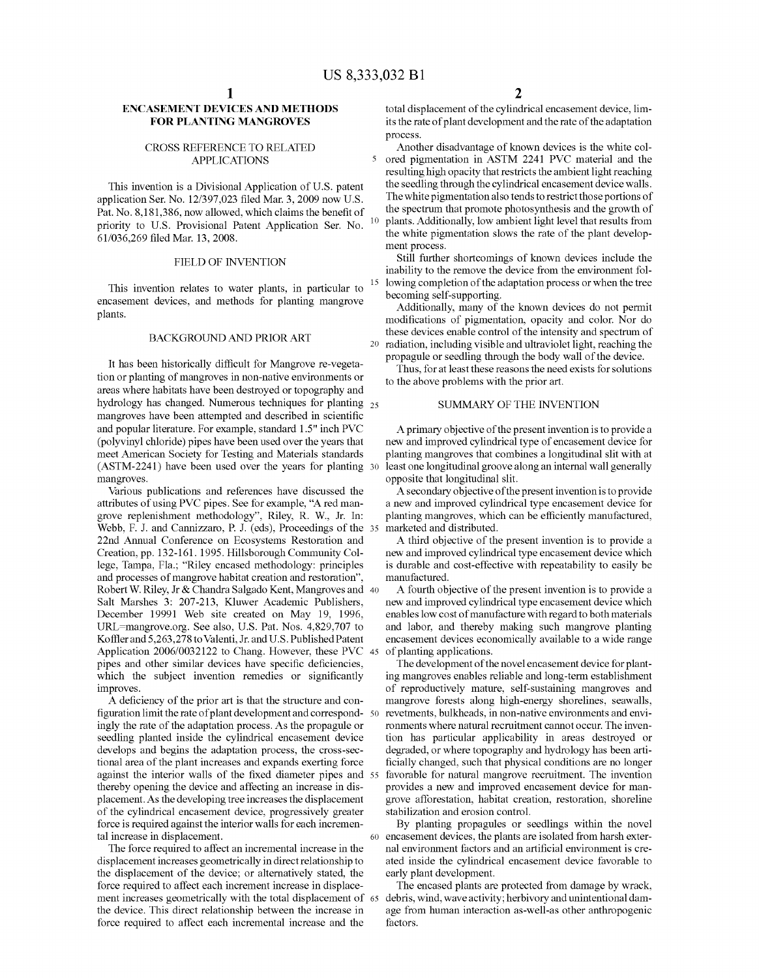15

#### ENCASEMENT DEVICES AND METHODS FOR PLANTING MANGROVES

#### CROSS REFERENCE TO RELATED APPLICATIONS

This invention is a Divisional Application of U.S. patent application Ser. No. 12/397,023 filed Mar. 3, 2009 now U.S. Pat. No. 8,181,386, now allowed, which claims the benefit of priority to U.S. Provisional Patent Application Ser. No. 61/036,269 filed Mar. 13, 2008.

#### FIELD OF INVENTION

This invention relates to water plants, in particular to encasement devices, and methods for planting mangrove plants.

#### BACKGROUND AND PRIOR ART

It has been historically difficult for Mangrove re-vegeta tion or planting of mangroves in non-native environments or areas where habitats have been destroyed or topography and hydrology has changed. Numerous techniques for planting <sub>25</sub> mangroves have been attempted and described in scientific and popular literature. For example, standard 1.5" inch PVC (polyvinyl chloride) pipes have been used over the years that meet American Society for Testing and Materials standards (ASTM-2241) have been used over the years for planting 30 mangroves.

Various publications and references have discussed the attributes of using PVC pipes. See for example, "A red man grove replenishment methodology". Riley, R. W., Jr. In: Webb, F. J. and Cannizzaro, P. J. (eds), Proceedings of the 35 22nd Annual Conference on Ecosystems Restoration and Creation, pp. 132-161. 1995. Hillsborough Community Col lege, Tampa, Fla., "Riley encased methodology: principles and processes of mangrove habitat creation and restoration'. Robert W. Riley, Jr & Chandra Salgado Kent, Mangroves and 40 Salt Marshes 3: 207-213, Kluwer Academic Publishers, December 19991 Web site created on May 19, 1996, URL=mangrove.org. See also, U.S. Pat. Nos. 4,829,707 to Koffler and 5,263,278 to Valenti, Jr. and U.S. Published Patent Application 2006/0032122 to Chang. However, these PVC 45 pipes and other similar devices have specific deficiencies, which the subject invention remedies or significantly improves.

A deficiency of the prior art is that the structure and con figuration limit the rate of plant development and correspond 50 ingly the rate of the adaptation process. As the propagule or seedling planted inside the cylindrical encasement device develops and begins the adaptation process, the cross-sec tional area of the plant increases and expands exerting force against the interior walls of the fixed diameter pipes and 55 thereby opening the device and affecting an increase in dis placement. As the developing tree increases the displacement of the cylindrical encasement device, progressively greater force is required against the interior walls for each incremen tal increase in displacement.

The force required to affect an incremental increase in the displacement increases geometrically in direct relationship to the displacement of the device; or alternatively stated, the force required to affect each increment increase in displace ment increases geometrically with the total displacement of 65 the device. This direct relationship between the increase in force required to affect each incremental increase and the

total displacement of the cylindrical encasement device, lim its the rate of plant development and the rate of the adaptation process.

Another disadvantage of known devices is the white col ored pigmentation in ASTM 2241 PVC material and the resulting high opacity that restricts the ambient light reaching the seedling through the cylindrical encasement device walls. The white pigmentation also tends to restrict those portions of the spectrum that promote photosynthesis and the growth of plants. Additionally, low ambient light level that results from the white pigmentation slows the rate of the plant develop ment process.

Still further shortcomings of known devices include the inability to the remove the device from the environment fol lowing completion of the adaptation process or when the tree becoming self-supporting.

Additionally, many of the known devices do not permit modifications of pigmentation, opacity and color. Nor do these devices enable control of the intensity and spectrum of radiation, including visible and ultraviolet light, reaching the propagule or seedling through the body wall of the device.

Thus, for at least these reasons the need exists for solutions to the above problems with the prior art.

#### SUMMARY OF THE INVENTION

A primary objective of the present invention is to provide a new and improved cylindrical type of encasement device for planting mangroves that combines a longitudinal slit with at least one longitudinal groove along an internal wall generally opposite that longitudinal slit.

A secondary objective of the present invention is to provide a new and improved cylindrical type encasement device for planting mangroves, which can be efficiently manufactured, marketed and distributed.

A third objective of the present invention is to provide a new and improved cylindrical type encasement device which is durable and cost-effective with repeatability to easily be manufactured.

A fourth objective of the present invention is to provide a new and improved cylindrical type encasement device which enables low cost of manufacture with regard to both materials and labor, and thereby making such mangrove planting encasement devices economically available to a wide range of planting applications.

The development of the novel encasement device for plant ing mangroves enables reliable and long-term establishment of reproductively mature, self-sustaining mangroves and mangrove forests along high-energy shorelines, seawalls, revetments, bulkheads, in non-native environments and envi ronments where natural recruitment cannot occur. The inven tion has particular applicability in areas destroyed or degraded, or where topography and hydrology has been arti ficially changed, such that physical conditions are no longer favorable for natural mangrove recruitment. The invention provides a new and improved encasement device for man grove afforestation, habitat creation, restoration, shoreline stabilization and erosion control.

60 encasement devices, the plants are isolated from harsh exter By planting propagules or seedlings within the novel nal environment factors and an artificial environment is cre ated inside the cylindrical encasement device favorable to early plant development.

The encased plants are protected from damage by wrack, debris, wind, wave activity; herbivory and unintentional dam age from human interaction as-well-as other anthropogenic factors.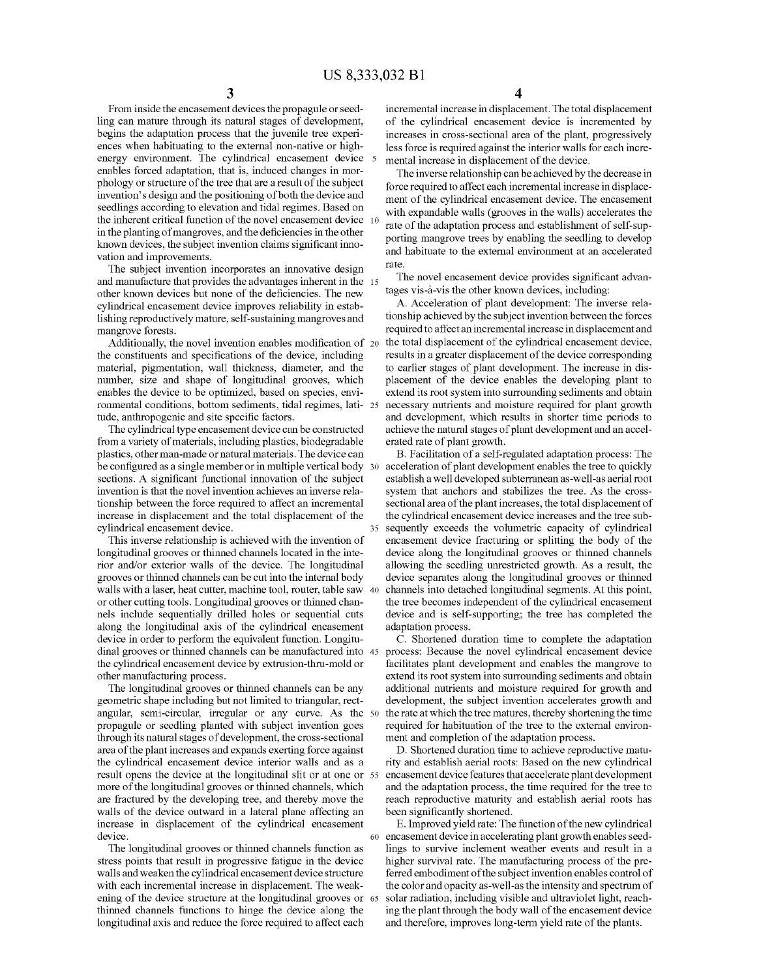From inside the encasement devices the propagule or seedling can mature through its natural stages of development, begins the adaptation process that the juvenile tree experiences when habituating to the external non-native or high energy environment. The cylindrical encasement device 5 enables forced adaptation, that is, induced changes in morphology or structure of the tree that are a result of the subject invention's design and the positioning of both the device and seedlings according to elevation and tidal regimes. Based on the inherent critical function of the novel encasement device 10 in the planting of mangroves, and the deficiencies in the other known devices, the subject invention claims significant inno-Vation and improvements.

The subject invention incorporates an innovative design and manufacture that provides the advantages inherent in the 15 other known devices but none of the deficiencies. The new cylindrical encasement device improves reliability in estab lishing reproductively mature, self-sustaining mangroves and mangrove forests.

Additionally, the novel invention enables modification of 20 the constituents and specifications of the device, including material, pigmentation, wall thickness, diameter, and the number, size and shape of longitudinal grooves, which enables the device to be optimized, based on species, envi ronmental conditions, bottom sediments, tidal regimes, lati- 25 tude, anthropogenic and site specific factors.

The cylindrical type encasement device can be constructed from a variety of materials, including plastics, biodegradable plastics, other man-made or natural materials. The device can be configured as a single member or in multiple vertical body 30 sections. A significant functional innovation of the subject invention is that the novel invention achieves an inverse rela tionship between the force required to affect an incremental increase in displacement and the total displacement of the cylindrical encasement device.

This inverse relationship is achieved with the invention of longitudinal grooves or thinned channels located in the inte rior and/or exterior walls of the device. The longitudinal grooves or thinned channels can be cut into the internal body walls with a laser, heat cutter, machine tool, router, table saw 40 or other cutting tools. Longitudinal grooves or thinned chan nels include sequentially drilled holes or sequential cuts along the longitudinal axis of the cylindrical encasement device in order to perform the equivalent function. Longitu dinal grooves or thinned channels can be manufactured into 45 the cylindrical encasement device by extrusion-thru-mold or other manufacturing process.<br>The longitudinal grooves or thinned channels can be any

geometric shape including but not limited to triangular, rectangular, semi-circular, irregular or any curve. As the 50 propagule or seedling planted with Subject invention goes through its natural stages of development, the cross-sectional area of the plant increases and expands exerting force against the cylindrical encasement device interior walls and as a result opens the device at the longitudinal slit or at one or 55 more of the longitudinal grooves or thinned channels, which are fractured by the developing tree, and thereby move the walls of the device outward in a lateral plane affecting an increase in displacement of the cylindrical encasement device.

The longitudinal grooves or thinned channels function as stress points that result in progressive fatigue in the device walls and weaken the cylindrical encasement device structure with each incremental increase in displacement. The weak ening of the device structure at the longitudinal grooves or 65 thinned channels functions to hinge the device along the longitudinal axis and reduce the force required to affect each

4

incremental increase in displacement. The total displacement of the cylindrical encasement device is incremented by increases in cross-sectional area of the plant, progressively less force is required against the interior walls for each incre mental increase in displacement of the device.

The inverse relationship can be achieved by the decrease in force required to affect each incremental increase in displace ment of the cylindrical encasement device. The encasement with expandable walls (grooves in the walls) accelerates the rate of the adaptation process and establishment of self-sup-<br>porting mangrove trees by enabling the seedling to develop and habituate to the external environment at an accelerated rate.

The novel encasement device provides significant advan tages vis-a-vis the other known devices, including:

A. Acceleration of plant development: The inverse rela tionship achieved by the subject invention between the forces required to affect an incremental increase in displacement and the total displacement of the cylindrical encasement device, results in a greater displacement of the device corresponding to earlier stages of plant development. The increase in dis placement of the device enables the developing plant to extend its root system into surrounding sediments and obtain necessary nutrients and moisture required for plant growth and development, which results in shorter time periods to achieve the natural stages of plant development and an accel erated rate of plant growth.

B. Facilitation of a self-regulated adaptation process: The acceleration of plant development enables the tree to quickly establish a well developed subterranean as-well-as aerial root system that anchors and stabilizes the tree. As the cross sectional area of the plant increases, the total displacement of the cylindrical encasement device increases and the tree subsequently exceeds the Volumetric capacity of cylindrical encasement device fracturing or splitting the body of the device along the longitudinal grooves or thinned channels allowing the seedling unrestricted growth. As a result, the device separates along the longitudinal grooves or thinned channels into detached longitudinal segments. At this point, the tree becomes independent of the cylindrical encasement device and is self-supporting; the tree has completed the adaptation process.

C. Shortened duration time to complete the adaptation process: Because the novel cylindrical encasement device facilitates plant development and enables the mangrove to extend its root system into surrounding sediments and obtain additional nutrients and moisture required for growth and development, the subject invention accelerates growth and the rate at which the tree matures, thereby shortening the time required for habituation of the tree to the external environ ment and completion of the adaptation process.

D. Shortened duration time to achieve reproductive matu rity and establish aerial roots: Based on the new cylindrical and the adaptation process, the time required for the tree to reach reproductive maturity and establish aerial roots has been significantly shortened.

60 encasement device inaccelerating plant growth enables seed E. Improved yield rate: The function of the new cylindrical lings to Survive inclement weather events and result in a higher survival rate. The manufacturing process of the preferred embodiment of the subject invention enables control of the color and opacity as-well-as the intensity and spectrum of solar radiation, including visible and ultraviolet light, reaching the plant through the body wall of the encasement device and therefore, improves long-term yield rate of the plants.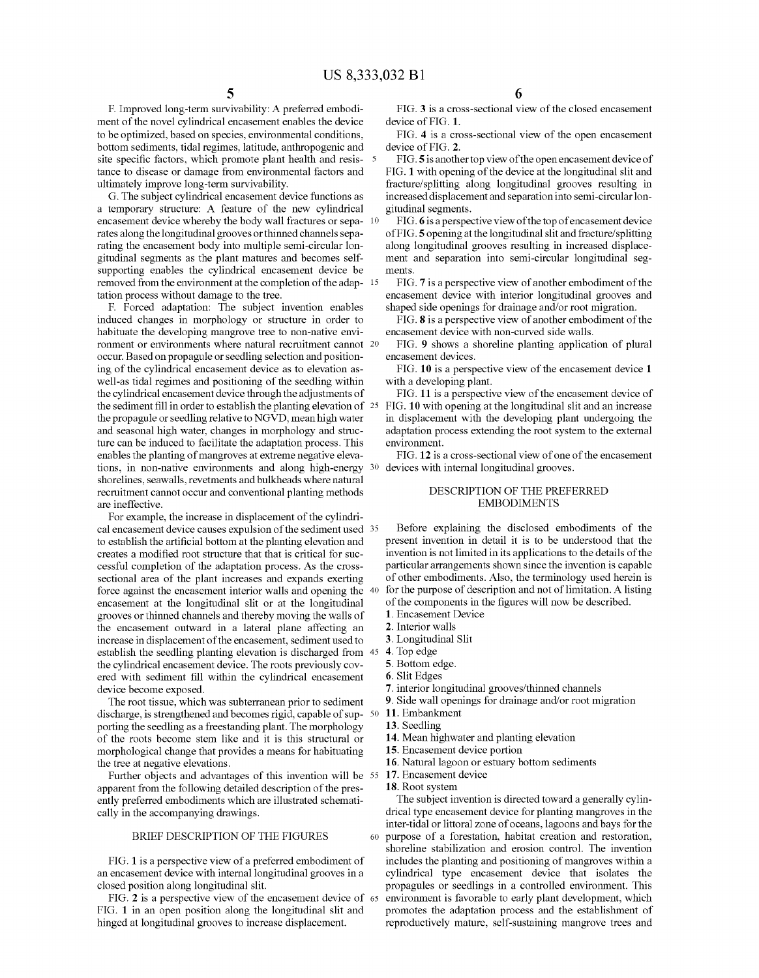F. Improved long-term survivability: A preferred embodi ment of the novel cylindrical encasement enables the device to be optimized, based on species, environmental conditions, bottom sediments, tidal regimes, latitude, anthropogenic and site specific factors, which promote plant health and resistance to disease or damage from environmental factors and ultimately improve long-term survivability.

G. The subject cylindrical encasement device functions as a temporary structure: A feature of the new cylindrical encasement device whereby the body wall fractures or sepa- $10$ rates along the longitudinal grooves orthinned channels sepa rating the encasement body into multiple semi-circular lon gitudinal segments as the plant matures and becomes self supporting enables the cylindrical encasement device be removed from the environment at the completion of the adap- 15 tation process without damage to the tree.

F. Forced adaptation: The subject invention enables induced changes in morphology or structure in order to habituate the developing mangrove tree to non-native envi ronment or environments where natural recruitment cannot 20 occur. Based on propagule or seedling selection and position ing of the cylindrical encasement device as to elevation as well-as tidal regimes and positioning of the seedling within the cylindrical encasement device through the adjustments of the sediment fill in order to establish the planting elevation of  $25$  FIG. 10 with opening at the longitudinal slit and an increase the propagule or seedling relative to NGVD, mean high water and seasonal high water, changes in morphology and struc ture can be induced to facilitate the adaptation process. This enables the planting of mangroves at extreme negative eleva tions, in non-native environments and along high-energy shorelines, seawalls, revetments and bulkheads where natural recruitment cannot occur and conventional planting methods are ineffective.

For example, the increase in displacement of the cylindri cal encasement device causes expulsion of the sediment used 35 to establish the artificial bottom at the planting elevation and creates a modified root structure that that is critical for suc cessful completion of the adaptation process. As the cross sectional area of the plant increases and expands exerting force against the encasement interior walls and opening the 40 encasement at the longitudinal slit or at the longitudinal grooves or thinned channels and thereby moving the walls of the encasement outward in a lateral plane affecting an increase in displacement of the encasement, sediment used to establish the seedling planting elevation is discharged from 45 4. Top edge the cylindrical encasement device. The roots previously cov ered with sediment fill within the cylindrical encasement device become exposed.

The root tissue, which was subterranean prior to sediment discharge, is strengthened and becomes rigid, capable of sup- 50 porting the seedling as a freestanding plant. The morphology of the roots become stem like and it is this structural or morphological change that provides a means for habituating the tree at negative elevations.

Further objects and advantages of this invention will be 55 apparent from the following detailed description of the pres ently preferred embodiments which are illustrated schemati cally in the accompanying drawings.

#### BRIEF DESCRIPTION OF THE FIGURES 60

FIG. 1 is a perspective view of a preferred embodiment of an encasement device with internal longitudinal grooves in a closed position along longitudinal slit.

FIG. 2 is a perspective view of the encasement device of 65 FIG. 1 in an open position along the longitudinal slit and hinged at longitudinal grooves to increase displacement.

6

FIG. 3 is a cross-sectional view of the closed encasement device of FIG. 1.

FIG. 4 is a cross-sectional view of the open encasement device of FIG. 2.

FIG.5 is another top view of the open encasement device of FIG. 1 with opening of the device at the longitudinal slit and fracture/splitting along longitudinal grooves resulting in increased displacement and separation into semi-circularlon gitudinal segments.

FIG. 6 is a perspective view of the top of encasement device<br>of FIG. 5 opening at the longitudinal slit and fracture/splitting along longitudinal grooves resulting in increased displacement and separation into semi-circular longitudinal seg ments.

FIG. 7 is a perspective view of another embodiment of the encasement device with interior longitudinal grooves and shaped side openings for drainage and/or root migration.

FIG. 8 is a perspective view of another embodiment of the encasement device with non-curved side walls.

FIG. 9 shows a shoreline planting application of plural encasement devices.

FIG. 10 is a perspective view of the encasement device 1 with a developing plant.

FIG. 11 is a perspective view of the encasement device of in displacement with the developing plant undergoing the adaptation process extending the root system to the external environment.

30 devices with internal longitudinal grooves. FIG. 12 is a cross-sectional view of one of the encasement

#### DESCRIPTION OF THE PREFERRED EMBODIMENTS

Before explaining the disclosed embodiments of the present invention in detail it is to be understood that the invention is not limited in its applications to the details of the particular arrangements shown since the invention is capable of other embodiments. Also, the terminology used herein is for the purpose of description and not of limitation. A listing of the components in the figures will now be described. . Encasement Device

- 2. Interior walls
- 
- 
- 
- 
- 
- 2. Longitudinal Slit<br>
2. Top edge<br>
2. Bottom edge.<br>
2. Slit Edges<br>
2. interior longitudinal grooves/thinned channels<br>
2. Side wall openings for drainage and/or root migration
- 11. Embankment
- 13. Seedling
- 14. Mean highwater and planting elevation
- 15. Encasement device portion
- 16. Natural lagoon or estuary bottom sediments
- 17. Encasement device
- 18. Root system

The subject invention is directed toward a generally cylindrical type encasement device for planting mangroves in the inter-tidal or littoral Zone of oceans, lagoons and bays for the purpose of a forestation, habitat creation and restoration, shoreline stabilization and erosion control. The invention includes the planting and positioning of mangroves within a cylindrical type encasement device that isolates the propagules or seedlings in a controlled environment. This environment is favorable to early plant development, which promotes the adaptation process and the establishment of reproductively mature, self-sustaining mangrove trees and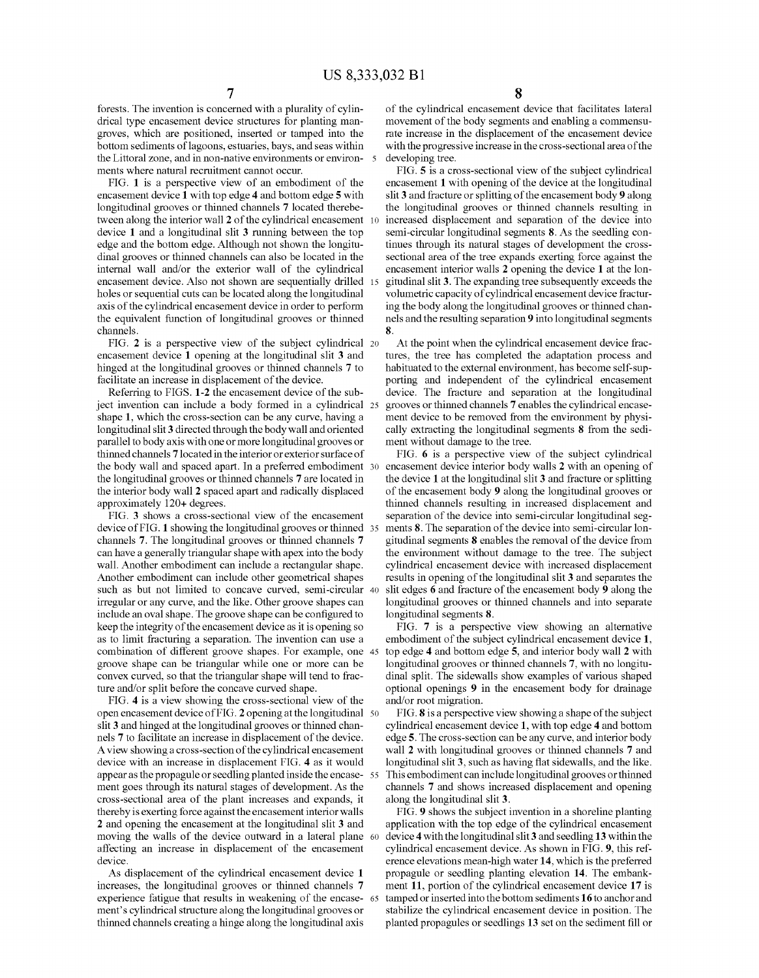forests. The invention is concerned with a plurality of cylin drical type encasement device structures for planting man groves, which are positioned, inserted or tamped into the bottom sediments of lagoons, estuaries, bays, and seas within the Littoral zone, and in non-native environments or environments where natural recruitment cannot occur.

FIG. 1 is a perspective view of an embodiment of the encasement device 1 with top edge 4 and bottom edge 5 with longitudinal grooves or thinned channels 7 located therebe tween along the interior wall 2 of the cylindrical encasement device 1 and a longitudinal slit 3 running between the top edge and the bottom edge. Although not shown the longitu dinal grooves or thinned channels can also be located in the internal wall and/or the exterior wall of the cylindrical encasement device. Also not shown are sequentially drilled 15 holes or sequential cuts can be located along the longitudinal the equivalent function of longitudinal grooves or thinned channels. 10

FIG. 2 is a perspective view of the subject cylindrical 20 encasement device 1 opening at the longitudinal slit 3 and hinged at the longitudinal grooves or thinned channels 7 to facilitate an increase in displacement of the device.

Referring to FIGS. 1-2 the encasement device of the sub ject invention can include a body formed in a cylindrical 25 shape 1, which the cross-section can be any curve, having a longitudinal slit 3 directed through the body wall and oriented parallel to body axis with one or more longitudinal grooves or thinned channels 7 located in the interior or exterior surface of the body wall and spaced apart. In a preferred embodiment 30 the longitudinal grooves or thinned channels 7 are located in the interior body wall 2 spaced apart and radically displaced approximately 120+ degrees.

FIG. 3 shows a cross-sectional view of the encasement device of FIG. 1 showing the longitudinal grooves or thinned 35 channels 7. The longitudinal grooves or thinned channels 7 can have a generally triangular shape with apex into the body wall. Another embodiment can include a rectangular shape. Another embodiment can include other geometrical shapes Such as but not limited to concave curved, semi-circular 40 irregular or any curve, and the like. Other groove shapes can include an oval shape. The groove shape can be configured to keep the integrity of the encasement device as it is opening so as to limit fracturing a separation. The invention can use a combination of different groove shapes. For example, one 45 groove shape can be triangular while one or more can be convex curved, so that the triangular shape will tend to frac ture and/or split before the concave curved shape.

FIG. 4 is a view showing the cross-sectional view of the slit 3 and hinged at the longitudinal grooves or thinned channels 7 to facilitate an increase in displacement of the device. A view showing a cross-section of the cylindrical encasement device with an increase in displacement FIG. 4 as it would appear as the propagule or seedling planted inside the encase 55 ment goes through its natural stages of development. As the cross-sectional area of the plant increases and expands, it thereby is exerting force against the encasement interior walls 2 and opening the encasement at the longitudinal slit 3 and affecting an increase in displacement of the encasement device. open encasement device of FIG. 2 opening at the longitudinal 50 moving the walls of the device outward in a lateral plane 60

As displacement of the cylindrical encasement device 1 increases, the longitudinal grooves or thinned channels 7 experience fatigue that results in weakening of the encase- 65 ment's cylindrical structure along the longitudinal grooves or thinned channels creating a hinge along the longitudinal axis

of the cylindrical encasement device that facilitates lateral movement of the body segments and enabling a commensu rate increase in the displacement of the encasement device with the progressive increase in the cross-sectional area of the developing tree.

FIG. 5 is a cross-sectional view of the subject cylindrical encasement 1 with opening of the device at the longitudinal<br>slit 3 and fracture or splitting of the encasement body 9 along the longitudinal grooves or thinned channels resulting in increased displacement and separation of the device into semi-circular longitudinal segments 8. As the seedling con tinues through its natural stages of development the cross sectional area of the tree expands exerting force against the encasement interior walls 2 opening the device 1 at the lon gitudinal slit 3. The expanding tree Subsequently exceeds the Volumetric capacity of cylindrical encasement device fractur ing the body along the longitudinal grooves or thinned chan nels and the resulting separation 9 into longitudinal segments 8.

At the point when the cylindrical encasement device frac tures, the tree has completed the adaptation process and habituated to the external environment, has become self-sup-<br>porting and independent of the cylindrical encasement device. The fracture and separation at the longitudinal grooves or thinned channels 7 enables the cylindrical encasement device to be removed from the environment by physically extracting the longitudinal segments 8 from the sediment without damage to the tree.

FIG. 6 is a perspective view of the subject cylindrical encasement device interior body walls 2 with an opening of the device 1 at the longitudinal slit 3 and fracture or splitting of the encasement body 9 along the longitudinal grooves or thinned channels resulting in increased displacement and separation of the device into semi-circular longitudinal seg ments 8. The separation of the device into semi-circular longitudinal segments 8 enables the removal of the device from cylindrical encasement device with increased displacement results in opening of the longitudinal slit 3 and separates the slit edges 6 and fracture of the encasement body 9 along the longitudinal grooves or thinned channels and into separate longitudinal segments 8.

FIG. 7 is a perspective view showing an alternative embodiment of the subject cylindrical encasement device 1, top edge 4 and bottom edge 5, and interior body wall 2 with longitudinal grooves or thinned channels 7, with no longitudinal split. The sidewalls show examples of various shaped optional openings 9 in the encasement body for drainage and/or root migration.

FIG. 8 is a perspective view showing a shape of the subject cylindrical encasement device 1, with top edge 4 and bottom edge 5. The cross-section can be any curve, and interior body wall 2 with longitudinal grooves or thinned channels 7 and longitudinal slit 3, such as having flat sidewalls, and the like. This embodiment can include longitudinal grooves orthinned channels 7 and shows increased displacement and opening along the longitudinal slit 3.

FIG. 9 shows the subject invention in a shoreline planting application with the top edge of the cylindrical encasement device 4 with the longitudinal slit 3 and seedling 13 within the cylindrical encasement device. As shown in FIG. 9, this reference elevations mean-high water 14, which is the preferred propagule or seedling planting elevation 14. The embankment 11, portion of the cylindrical encasement device 17 is tamped or inserted into the bottom sediments 16 to anchor and stabilize the cylindrical encasement device in position. The planted propagules or seedlings 13 set on the sediment fill or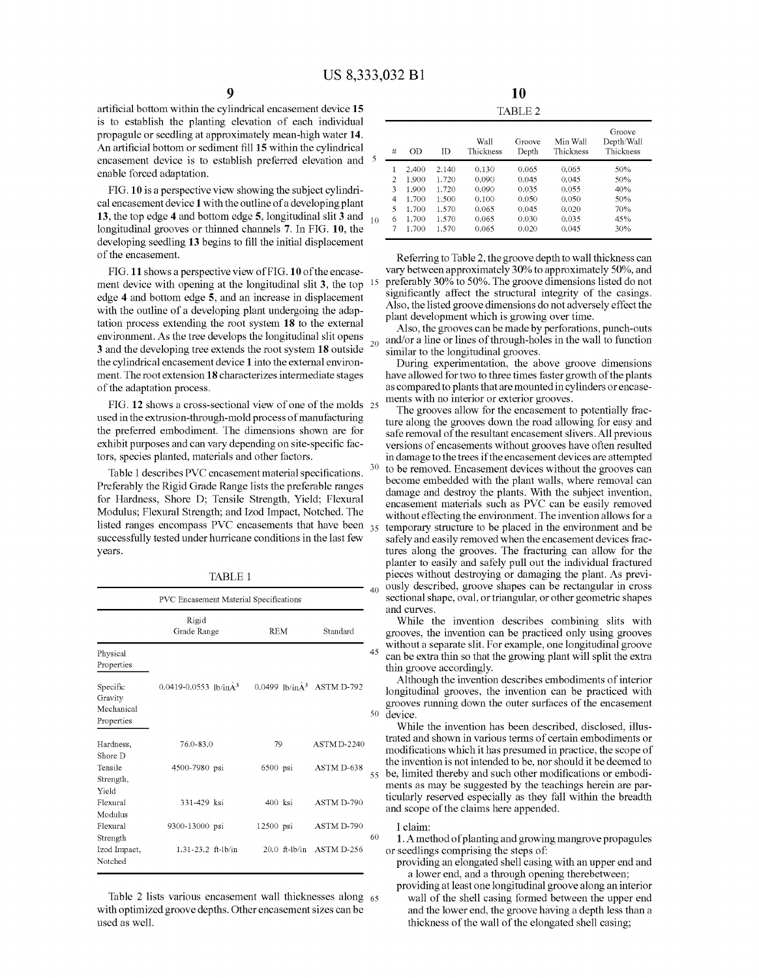30

artificial bottom within the cylindrical encasement device 15 is to establish the planting elevation of each individual propagule or seedling at approximately mean-high water 14. An artificial bottom or sediment fill 15 within the cylindrical encasement device is to establish preferred elevation and <sup>5</sup> enable forced adaptation.

FIG. 10 is a perspective view showing the subject cylindri cal encasement device 1 with the outline of a developing plant 13, the top edge 4 and bottom edge 5, longitudinal slit 3 and longitudinal grooves or thinned channels 7. In FIG. 10, the developing seedling 13 begins to fill the initial displacement of the encasement.

FIG. 11 shows a perspective view of FIG. 10 of the encase ment device with opening at the longitudinal slit 3, the top edge 4 and bottom edge 5, and an increase in displacement with the outline of a developing plant undergoing the adaptation process extending the root system 18 to the external environment. As the tree develops the longitudinal slit opens 20 3 and the developing tree extends the root system 18 outside the cylindrical encasement device 1 into the external environ ment. The root extension 18 characterizes intermediate stages of the adaptation process.

FIG. 12 shows a cross-sectional view of one of the molds 25 used in the extrusion-through-mold process of manufacturing the preferred embodiment. The dimensions shown are for exhibit purposes and can vary depending on site-specific fac tors, species planted, materials and other factors.

Table 1 describes PVC encasement material specifications. Preferably the Rigid Grade Range lists the preferable ranges for Hardness, Shore D; Tensile Strength, Yield; Flexural Modulus; Flexural Strength; and Izod Impact, Notched. The listed ranges encompass PVC encasements that have been <sub>35</sub> successfully tested under hurricane conditions in the last few years.

TABLE 1.

| PVC Encasement Material Specifications          |                                     |                                     |                    |  |  |  |  |
|-------------------------------------------------|-------------------------------------|-------------------------------------|--------------------|--|--|--|--|
|                                                 | Rigid<br>Grade Range                | <b>REM</b>                          | Standard           |  |  |  |  |
| Physical<br>Properties                          |                                     |                                     |                    |  |  |  |  |
| Specific<br>Gravity<br>Mechanical<br>Properties | $0.0419 - 0.0553$ lb/in $\hat{A}^3$ | 0.0499 lb/in $\hat{A}^3$ ASTM D-792 |                    |  |  |  |  |
| Hardness,<br>Shore D                            | 76.0-83.0                           | 79                                  | <b>ASTM D-2240</b> |  |  |  |  |
| Tensile<br>Strength,<br>Yield                   | 4500-7980 psi                       | 6500 psi                            | ASTM D-638         |  |  |  |  |
| Flexural<br>Modulus                             | 331-429 ksi                         | $400$ ksi                           | ASTM D-790         |  |  |  |  |
| Flexural<br>Strength                            | 9300-13000 psi                      | 12500 psi                           | ASTM D-790         |  |  |  |  |
| Izod Impact,<br>Notched                         | $1.31 - 23.2$ ft-lb/in              | $20.0$ ft-lb/in                     | ASTM D-256         |  |  |  |  |

with optimized groove depths. Other encasement sizes can be used as well. Table 2 lists various encasement wall thicknesses along 65

| 5  | #              | OD    | ΙD    | Wall<br>Thickness | Groove<br>Depth | Min Wall<br>Thickness | Groove<br>Depth/Wall<br>Thickness |
|----|----------------|-------|-------|-------------------|-----------------|-----------------------|-----------------------------------|
|    |                | 2.400 | 2.140 | 0.130             | 0.065           | 0.065                 | 50%                               |
|    | $\overline{c}$ | 1.900 | 1.720 | 0.090             | 0.045           | 0.045                 | 50%                               |
|    | 3              | 1.900 | 1.720 | 0.090             | 0.035           | 0.055                 | 40%                               |
|    | 4              | 1.700 | 1.500 | 0.100             | 0.050           | 0.050                 | 50%                               |
|    | 5              | 1.700 | 1.570 | 0.065             | 0.045           | 0.020                 | 70%                               |
| 10 | 6              | 1.700 | 1.570 | 0.065             | 0.030           | 0.035                 | 45%                               |
|    | 7              | 1.700 | 1.570 | 0.065             | 0.020           | 0.045                 | 30%                               |
|    |                |       |       |                   |                 |                       |                                   |

Referring to Table 2, the groove depth to wall thickness can vary between approximately 30% to approximately 50%, and preferably 30% to 50%. The groove dimensions listed do not significantly affect the structural integrity of the casings. Also, the listed groove dimensions do not adversely effect the plant development which is growing over time.

Also, the grooves can be made by perforations, punch-outs and/or a line or lines of through-holes in the wall to function

During experimentation, the above groove dimensions have allowed for two to three times faster growth of the plants as compared to plants that are mounted in cylinders or encasements with no interior or exterior grooves.

The grooves allow for the encasement to potentially fracture along the grooves down the road allowing for easy and safe removal of the resultant encasement slivers. All previous versions of encasements without grooves have often resulted in damage to the trees if the encasement devices are attempted to be removed. Encasement devices without the grooves can become embedded with the plant walls, where removal can damage and destroy the plants. With the subject invention, encasement materials such as PVC can be easily removed without effecting the environment. The invention allows for a temporary structure to be placed in the environment and be safely and easily removed when the encasement devices frac tures along the grooves. The fracturing can allow for the planter to easily and safely pull out the individual fractured pieces without destroying or damaging the plant. As previ ously described, groove shapes can be rectangular in cross sectional shape, oval, or triangular, or other geometric shapes and curves.

While the invention describes combining slits with grooves, the invention can be practiced only using grooves without a separate slit. For example, one longitudinal groove can be extra thin so that the growing plant will split the extra thin groove accordingly.

50 device. Although the invention describes embodiments of interior longitudinal grooves, the invention can be practiced with grooves running down the outer surfaces of the encasement

55 be, limited thereby and such other modifications or embodi While the invention has been described, disclosed, illus trated and shown in various terms of certain embodiments or modifications which it has presumed in practice, the scope of the invention is not intended to be, nor should it be deemed to ments as may be suggested by the teachings herein are par ticularly reserved especially as they fall within the breadth and scope of the claims here appended.

I claim:

1. A method of planting and growing mangrove propagules or seedlings comprising the steps of

providing an elongated shell casing with an upper end and a lower end, and a through opening therebetween;

providing at least one longitudinal groove along an interior wall of the shell casing formed between the upper end and the lower end, the groove having a depth less than a thickness of the wall of the elongated shell casing: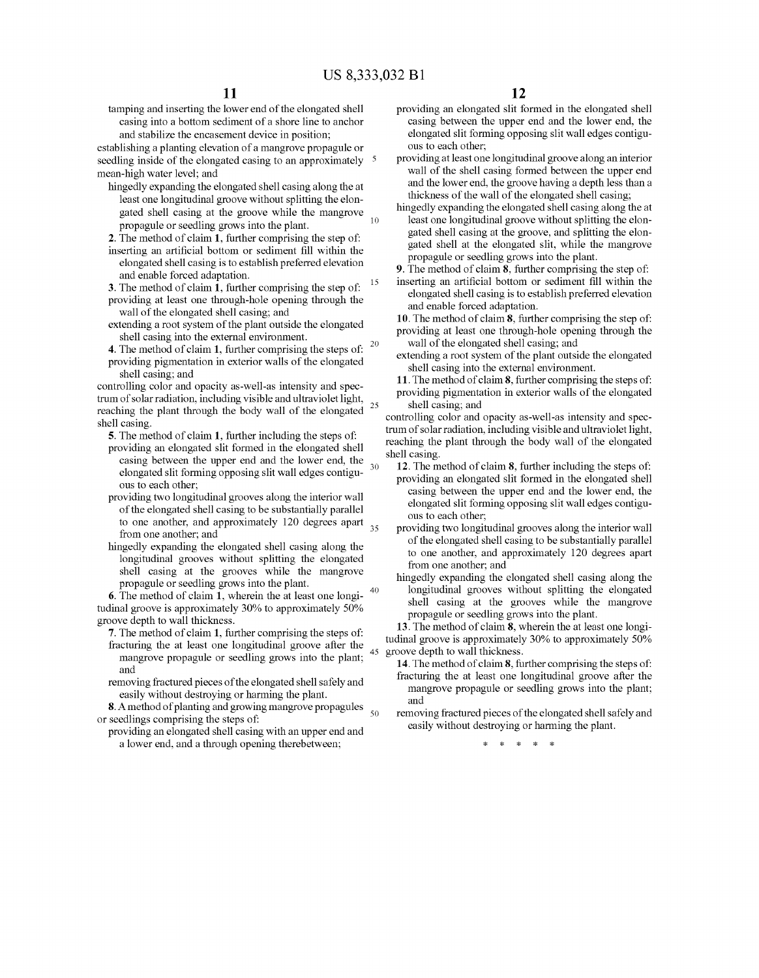tamping and inserting the lower end of the elongated shell casing into a bottom sediment of a shore line to anchor

establishing a planting elevation of a mangrove propagule or seedling inside of the elongated casing to an approximately <sup>5</sup> mean-high water level; and

- hingedly expanding the elongated shell casing along the at least one longitudinal groove without splitting the elon gated shell casing at the groove while the mangrove propagule or seedling grows into the plant.
- 2. The method of claim 1, further comprising the step of: inserting an artificial bottom or sediment fill within the elongated shell casing is to establish preferred elevation and enable forced adaptation.
- 3. The method of claim 1, further comprising the step of: providing at least one through-hole opening through the wall of the elongated shell casing; and 15
- extending a root system of the plant outside the elongated shell casing into the external environment.
- **20** 4. The method of claim 1, further comprising the steps of: providing pigmentation in exterior walls of the elongated shell casing; and

controlling color and opacity as-well-as intensity and spectrum of solar radiation, including visible and ultraviolet light. reaching the plant through the body wall of the elongated shell casing. 25

5. The method of claim 1, further including the steps of:

- providing an elongated slit formed in the elongated shell casing between the upper end and the lower end, the elongated slit forming opposing slit wall edges contigu ous to each other; 30
- providing two longitudinal grooves along the interior wall of the elongated shell casing to be substantially parallel to one another, and approximately 120 degrees apart from one another, and  $35$
- hingedly expanding the elongated shell casing along the longitudinal grooves without splitting the elongated shell casing at the grooves while the mangrove propagule or seedling grows into the plant.<br>6. The method of claim 1, wherein the at least one longi-

tudinal groove is approximately 30% to approximately 50% groove depth to wall thickness. 40

- 7. The method of claim 1, further comprising the steps of: fracturing the at least one longitudinal groove after the mangrove propagule or seedling grows into the plant; and 45
- removing fractured pieces of the elongated shell safely and easily without destroying or harming the plant.

8. A method of planting and growing mangrove propagules or seedlings comprising the steps of 50

providing an elongated shell casing with an upper end and a lower end, and a through opening therebetween;

- providing an elongated slit formed in the elongated shell casing between the upper end and the lower end, the elongated slit forming opposing slit wall edges contigu ous to each other, providing at least one longitudinal groove along an interior
- wall of the shell casing formed between the upper end and the lower end, the groove having a depth less than a thickness of the wall of the elongated shell casing;
- hingedly expanding the elongated shell casing along the at least one longitudinal groove without splitting the elon gated shell casing at the groove, and splitting the elon-<br>gated shell at the elongated slit, while the mangrove propagule or seedling grows into the plant.
- 9. The method of claim 8, further comprising the step of:
- inserting an artificial bottom or sediment fill within the elongated shell casing is to establish preferred elevation and enable forced adaptation.
- 10. The method of claim 8, further comprising the step of: providing at least one through-hole opening through the wall of the elongated shell casing; and
- extending a root system of the plant outside the elongated shell casing into the external environment.
- 11. The method of claim 8, further comprising the steps of: providing pigmentation in exterior walls of the elongated shell casing; and

controlling color and opacity as-well-as intensity and spectrum of solar radiation, including visible and ultraviolet light, reaching the plant through the body wall of the elongated shell casing.

- 12. The method of claim 8, further including the steps of: providing an elongated slit formed in the elongated shell casing between the upper end and the lower end, the elongated slit forming opposing slit wall edges contigu ous to each other, providing two longitudinal grooves along the interior wall
- of the elongated shell casing to be substantially parallel to one another, and approximately 120 degrees apart from one another, and
- hingedly expanding the elongated shell casing along the longitudinal grooves without splitting the elongated shell casing at the grooves while the mangrove propagule or seedling grows into the plant.<br>13. The method of claim 8, wherein the at least one longi-

tudinal groove is approximately 30% to approximately 50% groove depth to wall thickness.

- 14. The method of claim 8, further comprising the steps of: fracturing the at least one longitudinal groove after the mangrove propagule or seedling grows into the plant; and
- removing fractured pieces of the elongated shell safely and easily without destroying or harming the plant.

 $\cdot$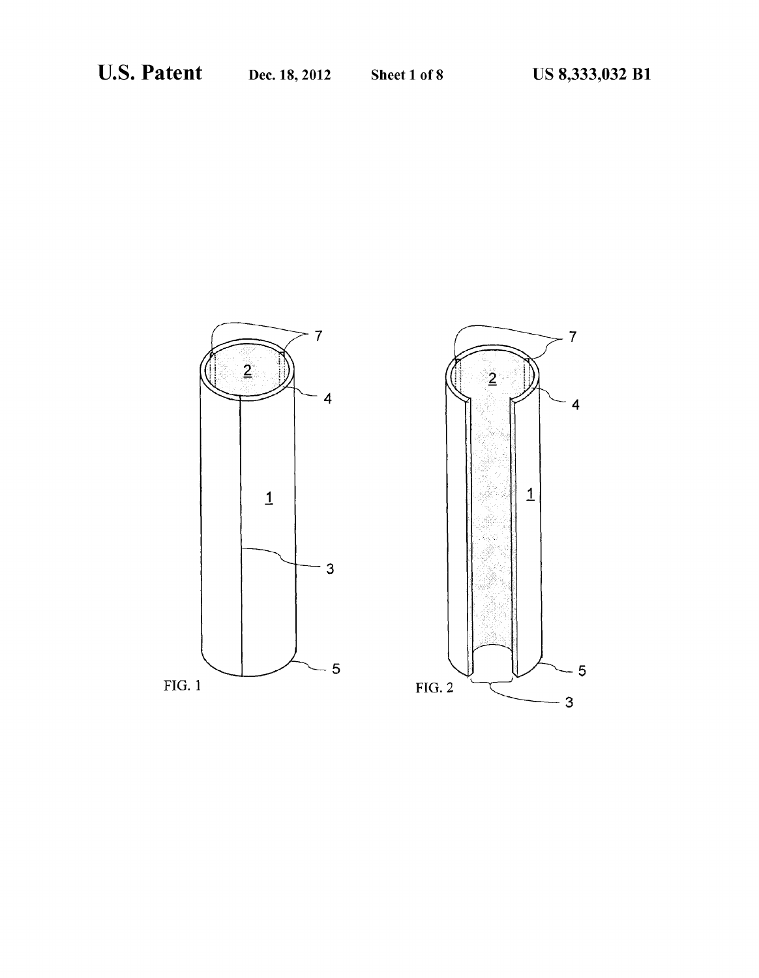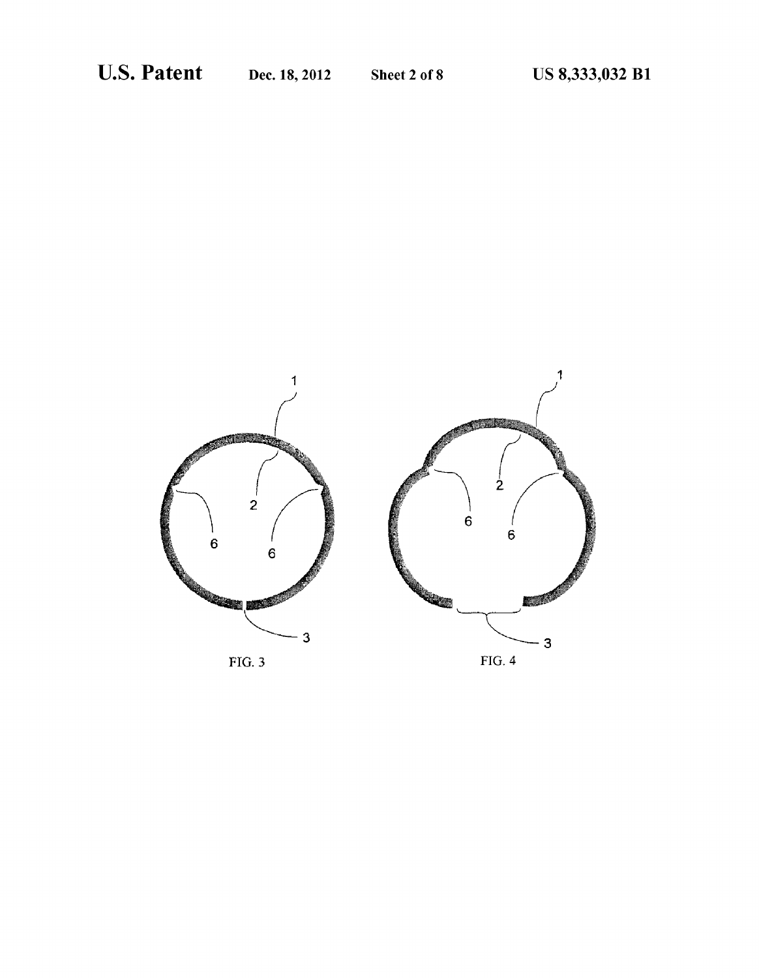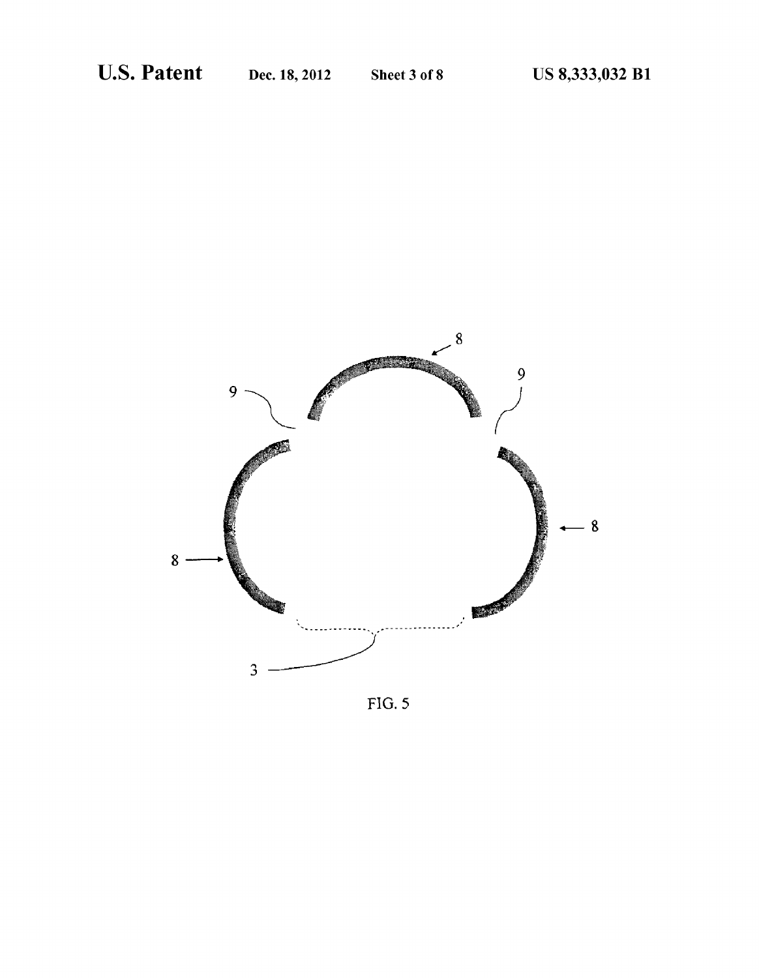

 $FIG. 5$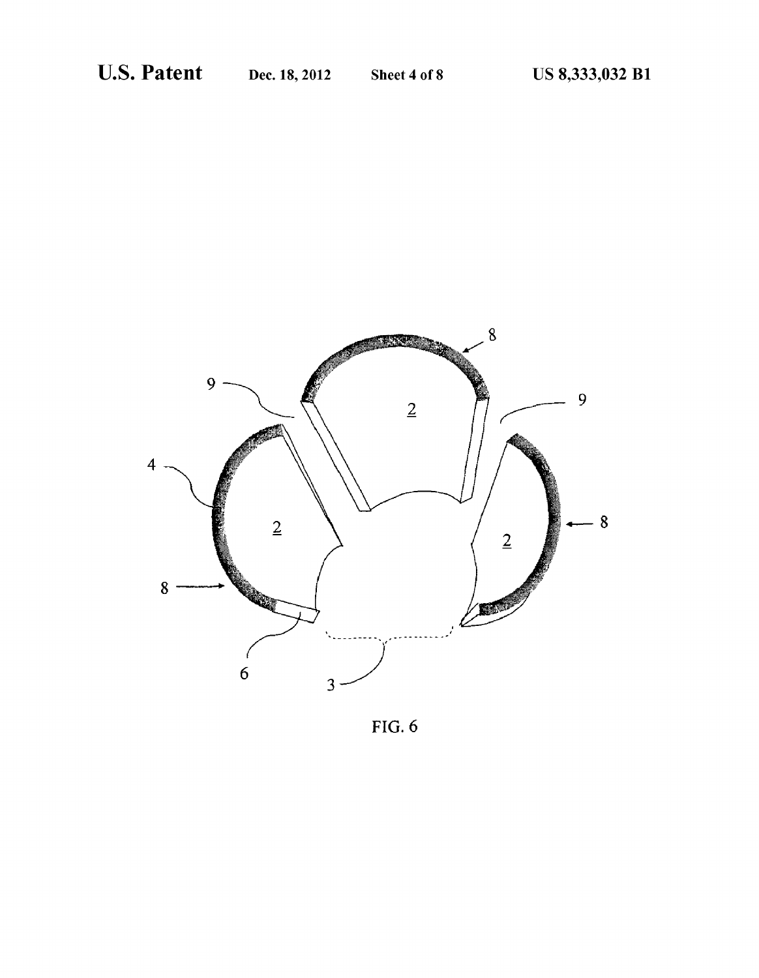

 $FIG. 6$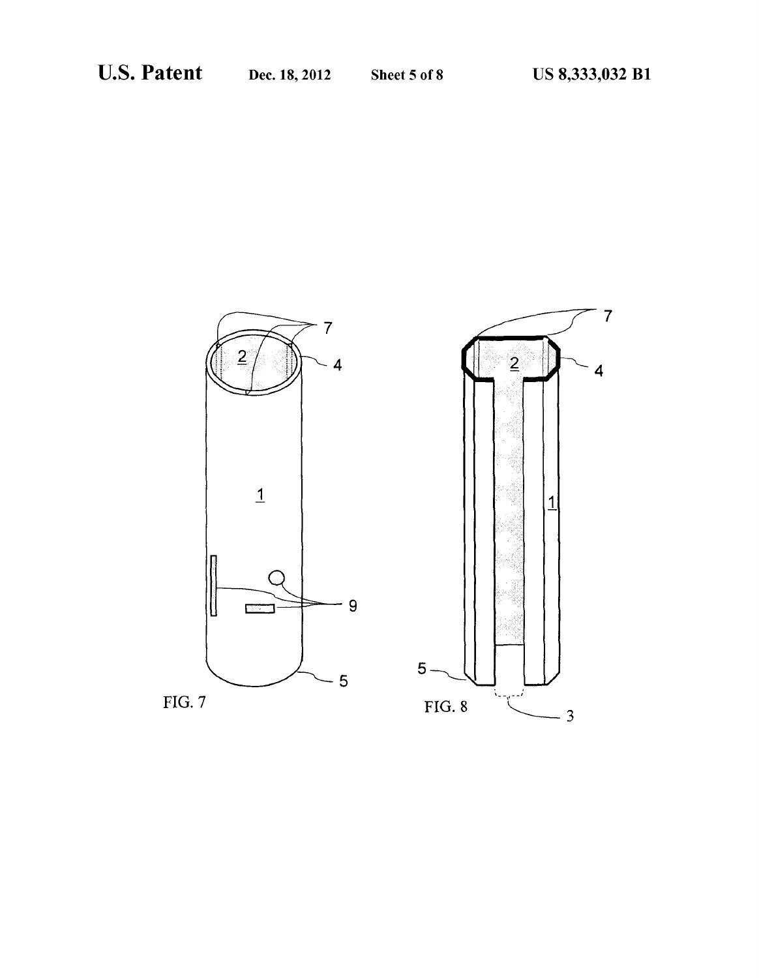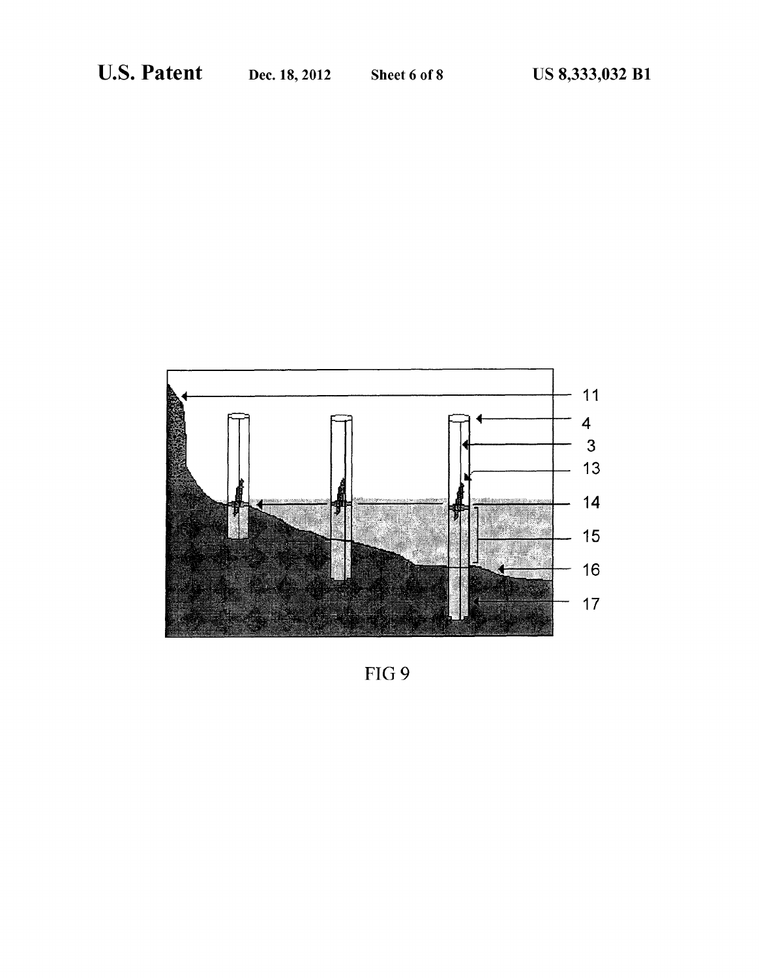

FIG 9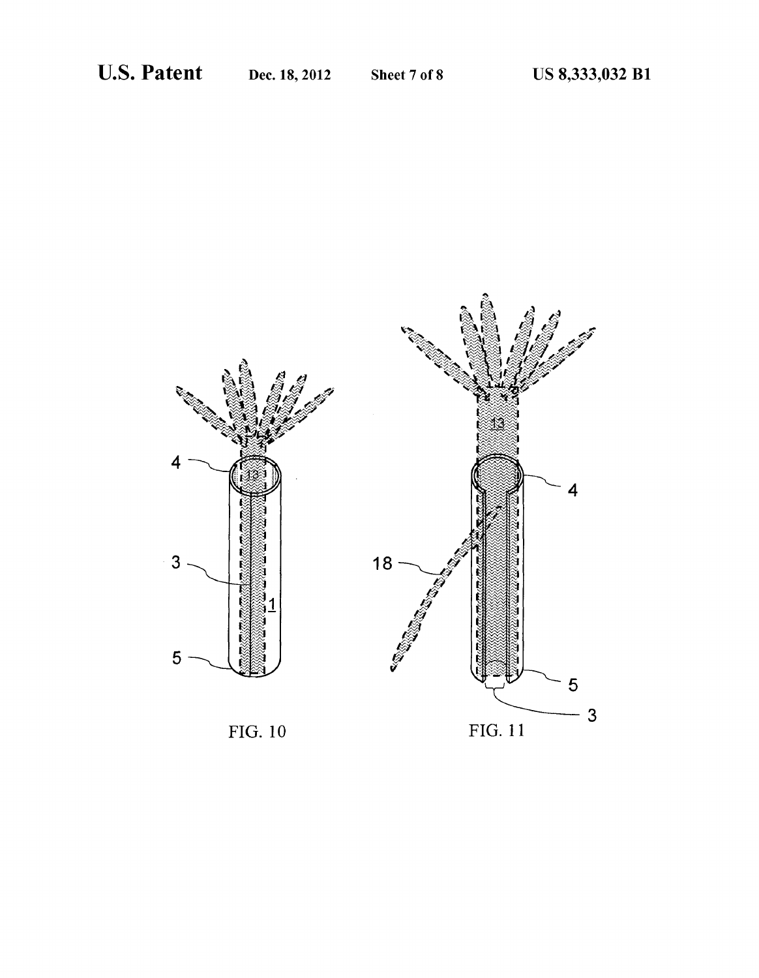